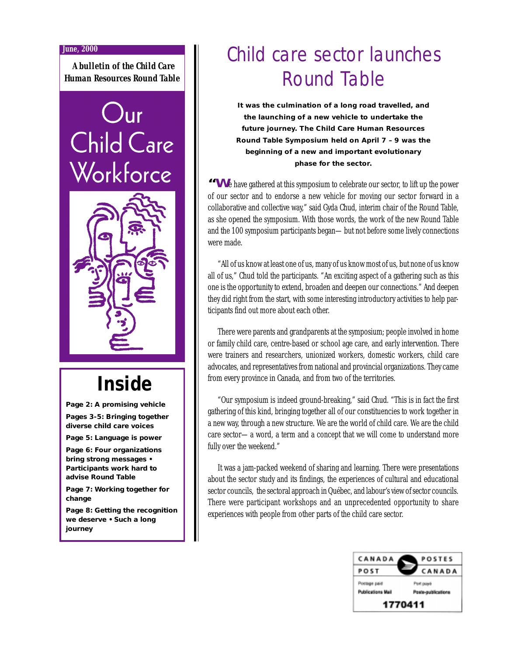#### **June, 2000**

*A bulletin of the Child Care Human Resources Round Table*

# Jur Child Care Workforce



## **Inside**

**Page 2: A promising vehicle**

**Pages 3-5: Bringing together diverse child care voices**

**Page 5: Language is power**

**Page 6: Four organizations bring strong messages • Participants work hard to advise Round Table**

**Page 7: Working together for change**

**Page 8: Getting the recognition we deserve • Such a long journey**

# Child care sector launches Round Table

**It was the culmination of a long road travelled, and the launching of a new vehicle to undertake the future journey. The Child Care Human Resources Round Table Symposium held on April 7 – 9 was the beginning of a new and important evolutionary phase for the sector.**

**"W**e have gathered at this symposium to celebrate our sector, to lift up the power of our sector and to endorse a new vehicle for moving our sector forward in a collaborative and collective way," said Gyda Chud, interim chair of the Round Table, as she opened the symposium. With those words, the work of the new Round Table and the 100 symposium participants began—but not before some lively connections were made.

"All of us know at least one of us, many of us know most of us, but none of us know all of us," Chud told the participants. "An exciting aspect of a gathering such as this one is the opportunity to extend, broaden and deepen our connections." And deepen they did right from the start, with some interesting introductory activities to help participants find out more about each other.

There were parents and grandparents at the symposium; people involved in home or family child care, centre-based or school age care, and early intervention. There were trainers and researchers, unionized workers, domestic workers, child care advocates, and representatives from national and provincial organizations. They came from every province in Canada, and from two of the territories.

"Our symposium is indeed ground-breaking," said Chud. "This is in fact the first gathering of this kind, bringing together all of our constituencies to work together in a new way, through a new structure. We are the world of child care. We are the child care sector—a word, a term and a concept that we will come to understand more fully over the weekend."

It was a jam-packed weekend of sharing and learning. There were presentations about the sector study and its findings, the experiences of cultural and educational sector councils, the sectoral approach in Québec, and labour's view of sector councils. There were participant workshops and an unprecedented opportunity to share experiences with people from other parts of the child care sector.

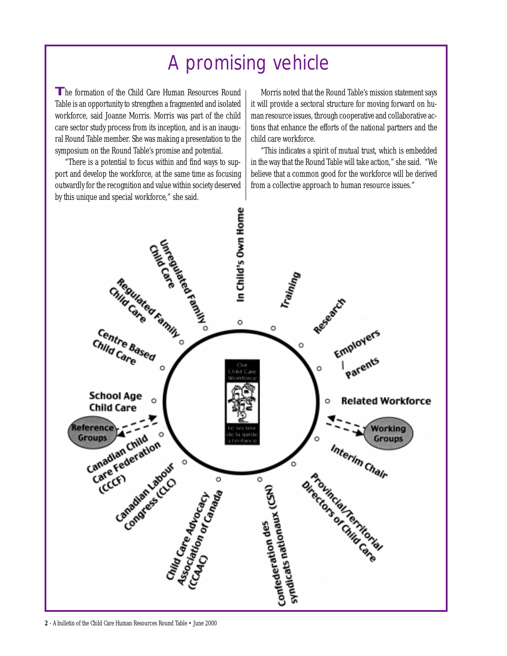# A promising vehicle

**T**he formation of the Child Care Human Resources Round Table is an opportunity to strengthen a fragmented and isolated workforce, said Joanne Morris. Morris was part of the child care sector study process from its inception, and is an inaugural Round Table member. She was making a presentation to the symposium on the Round Table's promise and potential.

"There is a potential to focus within and find ways to support and develop the workforce, at the same time as focusing outwardly for the recognition and value within society deserved by this unique and special workforce," she said.

Morris noted that the Round Table's mission statement says it will provide a sectoral structure for moving forward on human resource issues, through cooperative and collaborative actions that enhance the efforts of the national partners and the child care workforce.

"This indicates a spirit of mutual trust, which is embedded in the way that the Round Table will take action," she said. "We believe that a common good for the workforce will be derived from a collective approach to human resource issues."



**2** - A bulletin of the Child Care Human Resources Round Table • June 2000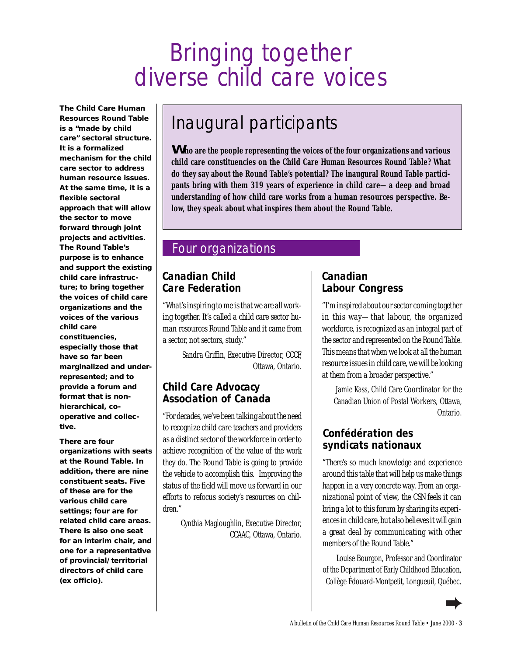# Bringing together diverse child care voices

**The Child Care Human Resources Round Table is a "made by child care" sectoral structure. It is a formalized mechanism for the child care sector to address human resource issues. At the same time, it is a flexible sectoral approach that will allow the sector to move forward through joint projects and activities. The Round Table's purpose is to enhance and support the existing child care infrastructure; to bring together the voices of child care organizations and the voices of the various child care constituencies, especially those that have so far been marginalized and underrepresented; and to provide a forum and format that is nonhierarchical, cooperative and collective.**

**There are four organizations with seats at the Round Table. In addition, there are nine constituent seats. Five of these are for the various child care settings; four are for related child care areas. There is also one seat for an interim chair, and one for a representative of provincial/territorial directors of child care (ex officio).**

# Inaugural participants

**Who are the people representing the voices of the four organizations and various child care constituencies on the Child Care Human Resources Round Table? What do they say about the Round Table's potential? The inaugural Round Table participants bring with them 319 years of experience in child care—a deep and broad understanding of how child care works from a human resources perspective. Below, they speak about what inspires them about the Round Table.**

## Four organizations

## **Canadian Child Care Federation**

*"What's inspiring to me is that we are all working together. It's called a child care sector human resources Round Table and it came from a sector, not sectors, study."*

> Sandra Griffin, Executive Director, CCCF, Ottawa, Ontario.

### **Child Care Advocacy Association of Canada**

*"For decades, we've been talking about the need to recognize child care teachers and providers as a distinct sector of the workforce in order to achieve recognition of the value of the work they do. The Round Table is going to provide the vehicle to accomplish this. Improving the status of the field will move us forward in our efforts to refocus society's resources on children."*

> Cynthia Magloughlin, Executive Director, CCAAC, Ottawa, Ontario.

### **Canadian Labour Congress**

*"I'm inspired about our sector coming together in this way—that labour, the organized workforce, is recognized as an integral part of the sector and represented on the Round Table. This means that when we look at all the human resource issues in child care, we will be looking at them from a broader perspective."*

Jamie Kass, Child Care Coordinator for the Canadian Union of Postal Workers, Ottawa, Ontario.

## **Confédération des syndicats nationaux**

*"There's so much knowledge and experience around this table that will help us make things happen in a very concrete way. From an organizational point of view, the CSN feels it can bring a lot to this forum by sharing its experiences in child care, but also believes it will gain a great deal by communicating with other members of the Round Table."*

Louise Bourgon, Professor and Coordinator of the Department of Early Childhood Education, Collège Édouard-Montpetit, Longueuil, Québec.

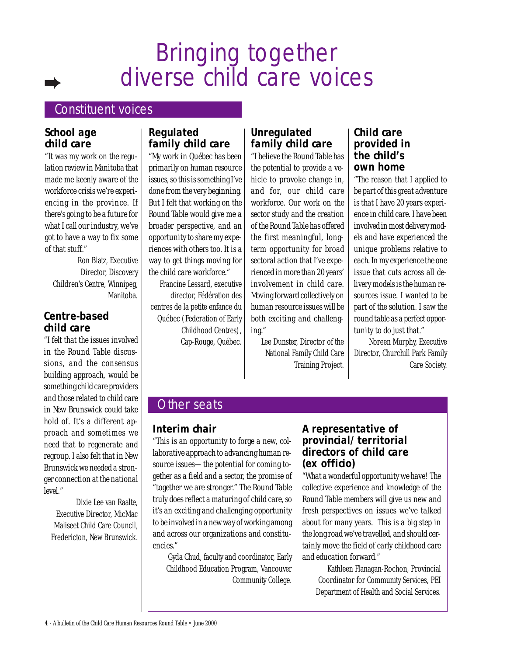# Bringing together diverse child care voices

## Constituent voices

#### **School age child care**

*"It was my work on the regulation review in Manitoba that made me keenly aware of the workforce crisis we're experiencing in the province. If there's going to be a future for what I call our industry, we've got to have a way to fix some of that stuff."*

Ron Blatz, Executive Director, Discovery Children's Centre, Winnipeg, Manitoba.

#### **Centre-based child care**

*"I felt that the issues involved in the Round Table discussions, and the consensus building approach, would be something child care providers and those related to child care in New Brunswick could take hold of. It's a different approach and sometimes we need that to regenerate and regroup. I also felt that in New Brunswick we needed a stronger connection at the national level."*

Dixie Lee van Raalte, Executive Director, MicMac Maliseet Child Care Council, Fredericton, New Brunswick.

### **Regulated family child care**

*"My work in Québec has been primarily on human resource issues, so this is something I've done from the very beginning. But I felt that working on the Round Table would give me a broader perspective, and an opportunity to share my experiences with others too. It is a way to get things moving for the child care workforce."*

Francine Lessard, executive director, Fédération des centres de la petite enfance du Québec (Federation of Early Childhood Centres), Cap-Rouge, Québec.

## **Unregulated family child care**

*"I believe the Round Table has the potential to provide a vehicle to provoke change in, and for, our child care workforce. Our work on the sector study and the creation of the Round Table has offered the first meaningful, longterm opportunity for broad sectoral action that I've experienced in more than 20 years' involvement in child care. Moving forward collectively on human resource issues will be both exciting and challenging."*

Lee Dunster, Director of the National Family Child Care Training Project.

#### **Child care provided in the child's own home**

*"The reason that I applied to be part of this great adventure is that I have 20 years experience in child care. I have been involved in most delivery models and have experienced the unique problems relative to each. In my experience the one issue that cuts across all delivery models is the human resources issue. I wanted to be part of the solution. I saw the round table as a perfect opportunity to do just that."*

Noreen Murphy, Executive Director, Churchill Park Family Care Society.

## Other seats

### **Interim chair**

*"This is an opportunity to forge a new, collaborative approach to advancing human resource issues—the potential for coming together as a field and a sector, the promise of "together we are stronger." The Round Table truly does reflect a maturing of child care, so it's an exciting and challenging opportunity to be involved in a new way of working among and across our organizations and constituencies."*

Gyda Chud, faculty and coordinator, Early Childhood Education Program, Vancouver Community College.

## **A representative of provincial/territorial directors of child care (ex officio)**

*"What a wonderful opportunity we have! The collective experience and knowledge of the Round Table members will give us new and fresh perspectives on issues we've talked about for many years. This is a big step in the long road we've travelled, and should certainly move the field of early childhood care and education forward."*

Kathleen Flanagan-Rochon, Provincial Coordinator for Community Services, PEI Department of Health and Social Services.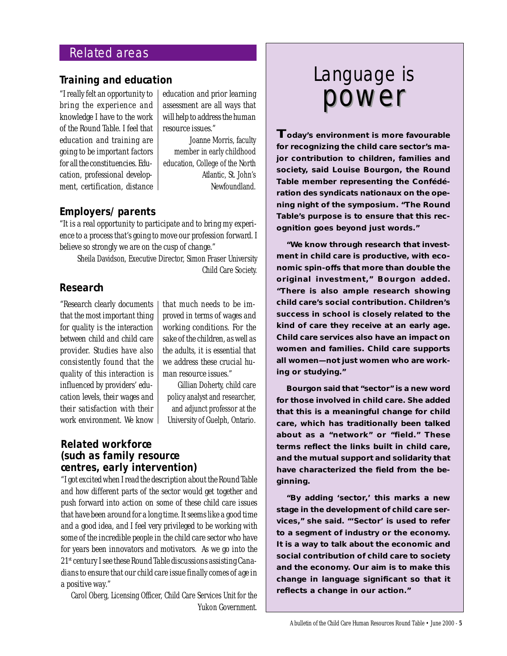## Related areas

#### **Training and education**

*"I really felt an opportunity to bring the experience and knowledge I have to the work of the Round Table. I feel that education and training are going to be important factors for all the constituencies. Education, professional development, certification, distance* *education and prior learning assessment are all ways that will help to address the human resource issues."*

Joanne Morris, faculty member in early childhood education, College of the North Atlantic, St. John's Newfoundland.

#### **Employers/parents**

*"It is a real opportunity to participate and to bring my experience to a process that's going to move our profession forward. I believe so strongly we are on the cusp of change."*

Sheila Davidson, Executive Director, Simon Fraser University Child Care Society.

#### **Research**

*"Research clearly documents that the most important thing for quality is the interaction between child and child care provider. Studies have also consistently found that the quality of this interaction is influenced by providers' education levels, their wages and their satisfaction with their work environment. We know*

*that much needs to be improved in terms of wages and working conditions. For the sake of the children, as well as the adults, it is essential that we address these crucial human resource issues."*

Gillian Doherty, child care policy analyst and researcher, and adjunct professor at the University of Guelph, Ontario.

#### **Related workforce (such as family resource centres, early intervention)**

*"I got excited when I read the description about the Round Table and how different parts of the sector would get together and push forward into action on some of these child care issues that have been around for a long time. It seems like a good time and a good idea, and I feel very privileged to be working with some of the incredible people in the child care sector who have for years been innovators and motivators. As we go into the 21st century I see these Round Table discussions assisting Canadians to ensure that our child care issue finally comes of age in a positive way."*

Carol Oberg, Licensing Officer, Child Care Services Unit for the Yukon Government.

# power powerLanguage is

**Today's environment is more favourable for recognizing the child care sector's major contribution to children, families and society, said Louise Bourgon, the Round Table member representing the Confédération des syndicats nationaux on the opening night of the symposium. "The Round Table's purpose is to ensure that this recognition goes beyond just words."**

**"We know through research that investment in child care is productive, with economic spin-offs that more than double the original investment," Bourgon added. "There is also ample research showing child care's social contribution. Children's success in school is closely related to the kind of care they receive at an early age. Child care services also have an impact on women and families. Child care supports** *all* **women—not just women who are working or studying."**

**Bourgon said that "sector" is a new word for those involved in child care. She added that this is a meaningful change for child care, which has traditionally been talked about as a "network" or "field." These terms reflect the links built in child care, and the mutual support and solidarity that have characterized the field from the beginning.**

**"By adding 'sector,' this marks a new stage in the development of child care services," she said. "'Sector' is used to refer to a segment of industry or the economy. It is a way to talk about the economic and social contribution of child care to society and the economy. Our aim is to make this change in language significant so that it reflects a change in our action."**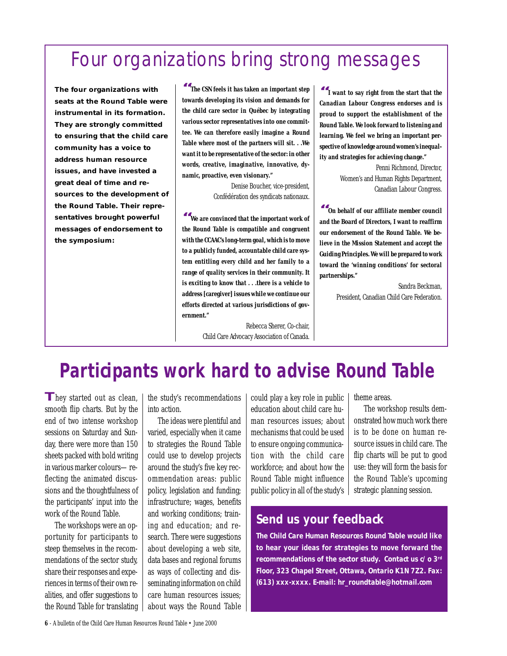# Four organizations bring strong messages

**The four organizations with seats at the Round Table were instrumental in its formation. They are strongly committed to ensuring that the child care community has a voice to address human resource issues, and have invested a great deal of time and resources to the development of the Round Table. Their representatives brought powerful messages of endorsement to the symposium:**

**"***The CSN feels it has taken an important step towards developing its vision and demands for the child care sector in Québec by integrating various sector representatives into one committee. We can therefore easily imagine a Round Table where most of the partners will sit. . .We want it to be representative of the sector: in other words, creative, imaginative, innovative, dynamic, proactive, even visionary."*

> Denise Boucher, vice-president, Confédération des syndicats nationaux*.*

**"***We are convinced that the important work of the Round Table is compatible and congruent with the CCAAC's long-term goal, which is to move to a publicly funded, accountable child care system entitling every child and her family to a range of quality services in their community. It is exciting to know that . . .there is a vehicle to address [caregiver] issues while we continue our efforts directed at various jurisdictions of government."*

> Rebecca Sherer, Co-chair, Child Care Advocacy Association of Canada.

**"***I want to say right from the start that the Canadian Labour Congress endorses and is proud to support the establishment of the Round Table. We look forward to listening and learning. We feel we bring an important perspective of knowledge around women's inequality and strategies for achieving change."*

> Penni Richmond, Director, Women's and Human Rights Department, Canadian Labour Congress.

**"***On behalf of our affiliate member council and the Board of Directors, I want to reaffirm our endorsement of the Round Table. We believe in the Mission Statement and accept the Guiding Principles. We will be prepared to work toward the 'winning conditions' for sectoral partnerships."*

> Sandra Beckman, President, Canadian Child Care Federation.

# **Participants work hard to advise Round Table**

**T**hey started out as clean, smooth flip charts. But by the end of two intense workshop sessions on Saturday and Sunday, there were more than 150 sheets packed with bold writing in various marker colours—reflecting the animated discussions and the thoughtfulness of the participants' input into the work of the Round Table.

The workshops were an opportunity for participants to steep themselves in the recommendations of the sector study, share their responses and experiences in terms of their own realities, and offer suggestions to the Round Table for translating the study's recommendations into action.

The ideas were plentiful and varied, especially when it came to strategies the Round Table could use to develop projects around the study's five key recommendation areas: public policy, legislation and funding; infrastructure; wages, benefits and working conditions; training and education; and research. There were suggestions about developing a web site, data bases and regional forums as ways of collecting and disseminating information on child care human resources issues; about ways the Round Table could play a key role in public education about child care human resources issues; about mechanisms that could be used to ensure ongoing communication with the child care workforce; and about how the Round Table might influence public policy in all of the study's

theme areas.

The workshop results demonstrated how much work there is to be done on human resource issues in child care. The flip charts will be put to good use: they will form the basis for the Round Table's upcoming strategic planning session.

## **Send us your feedback**

**The Child Care Human Resources Round Table would like to hear your ideas for strategies to move forward the recommendations of the sector study. Contact us c/o 3rd Floor, 323 Chapel Street, Ottawa, Ontario K1N 7Z2. Fax: (613) xxx-xxxx. E-mail: hr\_roundtable@hotmail.com**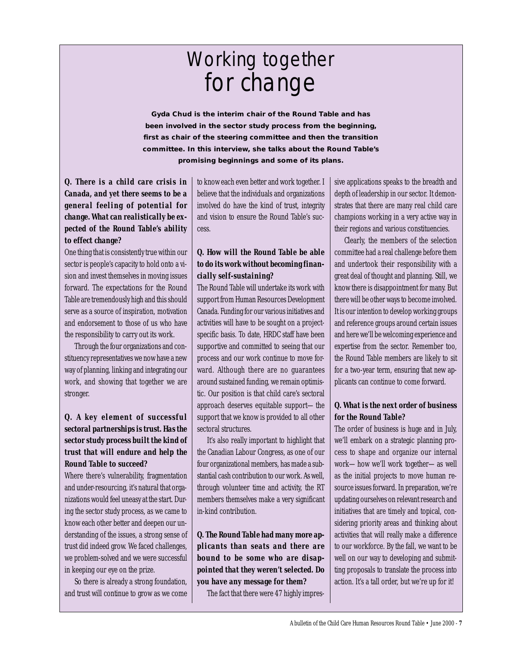# Working together for change

**Gyda Chud is the interim chair of the Round Table and has been involved in the sector study process from the beginning, first as chair of the steering committee and then the transition committee. In this interview, she talks about the Round Table's promising beginnings and some of its plans.**

#### *Q. There is a child care crisis in Canada, and yet there seems to be a general feeling of potential for change. What can realistically be expected of the Round Table's ability to effect change?*

One thing that is consistently true within our sector is people's capacity to hold onto a vision and invest themselves in moving issues forward. The expectations for the Round Table are tremendously high and this should serve as a source of inspiration, motivation and endorsement to those of us who have the responsibility to carry out its work.

Through the four organizations and constituency representatives we now have a new way of planning, linking and integrating our work, and showing that together we are stronger.

#### *Q. A key element of successful sectoral partnerships is trust. Has the sector study process built the kind of trust that will endure and help the Round Table to succeed?*

Where there's vulnerability, fragmentation and under-resourcing, it's natural that organizations would feel uneasy at the start. During the sector study process, as we came to know each other better and deepen our understanding of the issues, a strong sense of trust did indeed grow. We faced challenges, we problem-solved and we were successful in keeping our eye on the prize.

So there is already a strong foundation, and trust will continue to grow as we come to know each even better and work together. I believe that the individuals and organizations involved do have the kind of trust, integrity and vision to ensure the Round Table's success.

#### *Q. How will the Round Table be able to do its work without becoming financially self-sustaining?*

The Round Table will undertake its work with support from Human Resources Development Canada. Funding for our various initiatives and activities will have to be sought on a projectspecific basis. To date, HRDC staff have been supportive and committed to seeing that our process and our work continue to move forward. Although there are no guarantees around sustained funding, we remain optimistic. Our position is that child care's sectoral approach deserves equitable support—the support that we know is provided to all other sectoral structures.

It's also really important to highlight that the Canadian Labour Congress, as one of our four organizational members, has made a substantial cash contribution to our work. As well, through volunteer time and activity, the RT members themselves make a very significant in-kind contribution.

*Q. The Round Table had many more applicants than seats and there are bound to be some who are disappointed that they weren't selected. Do you have any message for them?*

The fact that there were 47 highly impres-

sive applications speaks to the breadth and depth of leadership in our sector. It demonstrates that there are many real child care champions working in a very active way in their regions and various constituencies.

Clearly, the members of the selection committee had a real challenge before them and undertook their responsibility with a great deal of thought and planning. Still, we know there is disappointment for many. But there will be other ways to become involved. It is our intention to develop working groups and reference groups around certain issues and here we'll be welcoming experience and expertise from the sector. Remember too, the Round Table members are likely to sit for a two-year term, ensuring that new applicants can continue to come forward.

#### *Q. What is the next order of business for the Round Table?*

The order of business is huge and in July, we'll embark on a strategic planning process to shape and organize our internal work—how we'll work together—as well as the initial projects to move human resource issues forward. In preparation, we're updating ourselves on relevant research and initiatives that are timely and topical, considering priority areas and thinking about activities that will really make a difference to our workforce. By the fall, we want to be well on our way to developing and submitting proposals to translate the process into action. It's a tall order, but we're up for it!